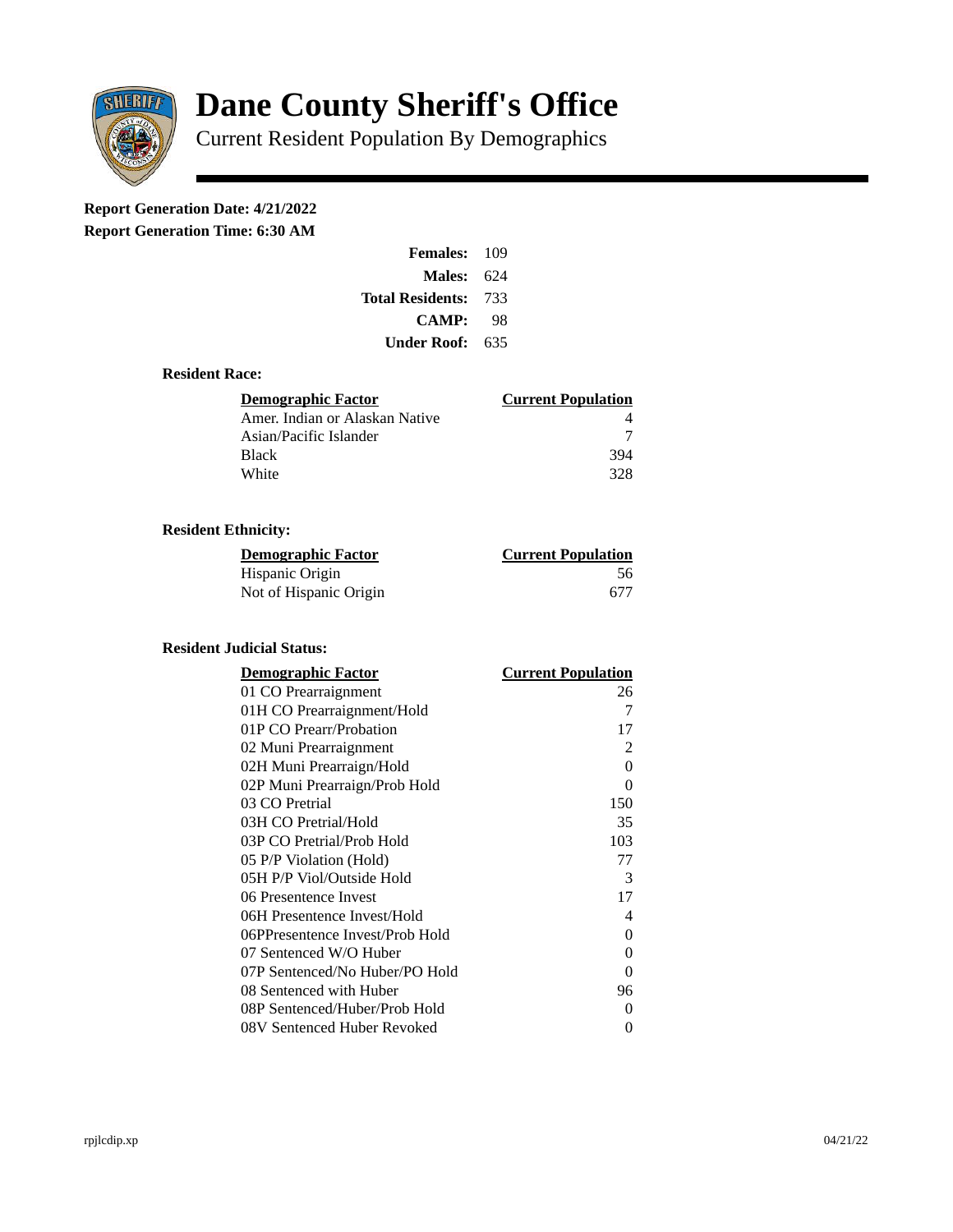

# **Dane County Sheriff's Office**

Current Resident Population By Demographics

# **Report Generation Date: 4/21/2022**

**Report Generation Time: 6:30 AM** 

| Females:                | 109   |
|-------------------------|-------|
| Males:                  | 624   |
| <b>Total Residents:</b> | - 733 |
| <b>CAMP:</b>            | 98    |
| Under Roof: \           | 635   |

#### **Resident Race:**

| Demographic Factor             | <b>Current Population</b> |
|--------------------------------|---------------------------|
| Amer. Indian or Alaskan Native |                           |
| Asian/Pacific Islander         |                           |
| Black                          | 394                       |
| White                          | 328                       |

## **Resident Ethnicity:**

| <u>Demographic Factor</u> | <u>Current Population</u> |
|---------------------------|---------------------------|
| Hispanic Origin           | 56                        |
| Not of Hispanic Origin    | 677                       |

### **Resident Judicial Status:**

| <b>Demographic Factor</b>       | <b>Current Population</b> |
|---------------------------------|---------------------------|
| 01 CO Prearraignment            | 26                        |
| 01H CO Prearraignment/Hold      | 7                         |
| 01P CO Prearr/Probation         | 17                        |
| 02 Muni Prearraignment          | $\overline{2}$            |
| 02H Muni Prearraign/Hold        | $\Omega$                  |
| 02P Muni Prearraign/Prob Hold   | 0                         |
| 03 CO Pretrial                  | 150                       |
| 03H CO Pretrial/Hold            | 35                        |
| 03P CO Pretrial/Prob Hold       | 103                       |
| 05 P/P Violation (Hold)         | 77                        |
| 05H P/P Viol/Outside Hold       | 3                         |
| 06 Presentence Invest           | 17                        |
| 06H Presentence Invest/Hold     | 4                         |
| 06PPresentence Invest/Prob Hold | 0                         |
| 07 Sentenced W/O Huber          | 0                         |
| 07P Sentenced/No Huber/PO Hold  | 0                         |
| 08 Sentenced with Huber         | 96                        |
| 08P Sentenced/Huber/Prob Hold   | O                         |
| 08V Sentenced Huber Revoked     | 0                         |